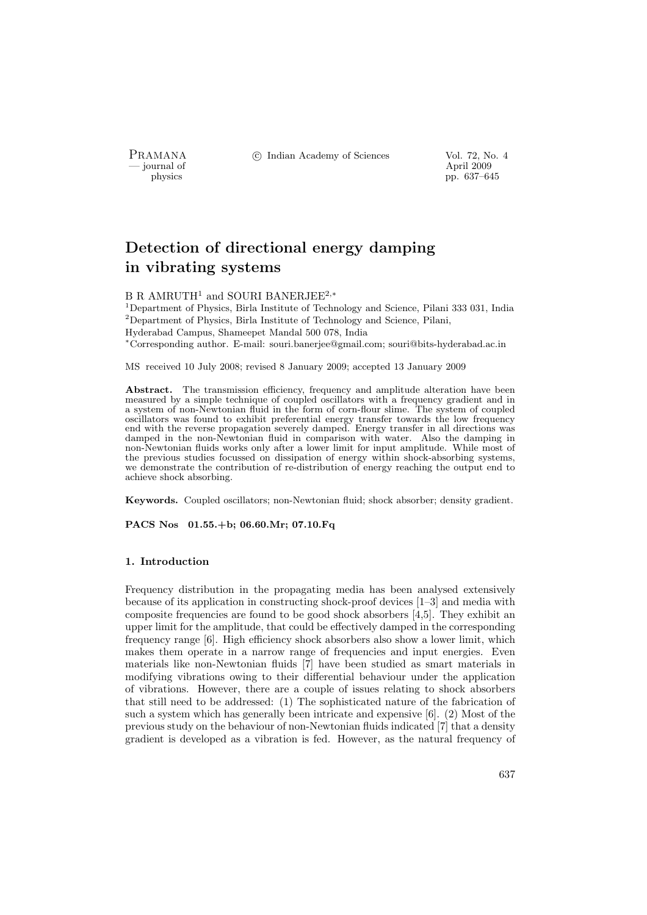- journal of<br>physics

PRAMANA <sup>©</sup>© Indian Academy of Sciences Vol. 72, No. 4<br>
— journal of April 2009

pp. 637–645

# Detection of directional energy damping in vibrating systems

## B R AMRUTH<sup>1</sup> and SOURI BANERJEE<sup>2,\*</sup>

<sup>1</sup>Department of Physics, Birla Institute of Technology and Science, Pilani 333 031, India  ${}^{2}$ Department of Physics, Birla Institute of Technology and Science, Pilani, Hyderabad Campus, Shameepet Mandal 500 078, India <sup>∗</sup>Corresponding author. E-mail: souri.banerjee@gmail.com; souri@bits-hyderabad.ac.in

MS received 10 July 2008; revised 8 January 2009; accepted 13 January 2009

Abstract. The transmission efficiency, frequency and amplitude alteration have been measured by a simple technique of coupled oscillators with a frequency gradient and in a system of non-Newtonian fluid in the form of corn-flour slime. The system of coupled oscillators was found to exhibit preferential energy transfer towards the low frequency end with the reverse propagation severely damped. Energy transfer in all directions was damped in the non-Newtonian fluid in comparison with water. Also the damping in non-Newtonian fluids works only after a lower limit for input amplitude. While most of the previous studies focussed on dissipation of energy within shock-absorbing systems, we demonstrate the contribution of re-distribution of energy reaching the output end to achieve shock absorbing.

Keywords. Coupled oscillators; non-Newtonian fluid; shock absorber; density gradient.

PACS Nos 01.55.+b; 06.60.Mr; 07.10.Fq

## 1. Introduction

Frequency distribution in the propagating media has been analysed extensively because of its application in constructing shock-proof devices [1–3] and media with composite frequencies are found to be good shock absorbers [4,5]. They exhibit an upper limit for the amplitude, that could be effectively damped in the corresponding frequency range [6]. High efficiency shock absorbers also show a lower limit, which makes them operate in a narrow range of frequencies and input energies. Even materials like non-Newtonian fluids [7] have been studied as smart materials in modifying vibrations owing to their differential behaviour under the application of vibrations. However, there are a couple of issues relating to shock absorbers that still need to be addressed: (1) The sophisticated nature of the fabrication of such a system which has generally been intricate and expensive [6]. (2) Most of the previous study on the behaviour of non-Newtonian fluids indicated [7] that a density gradient is developed as a vibration is fed. However, as the natural frequency of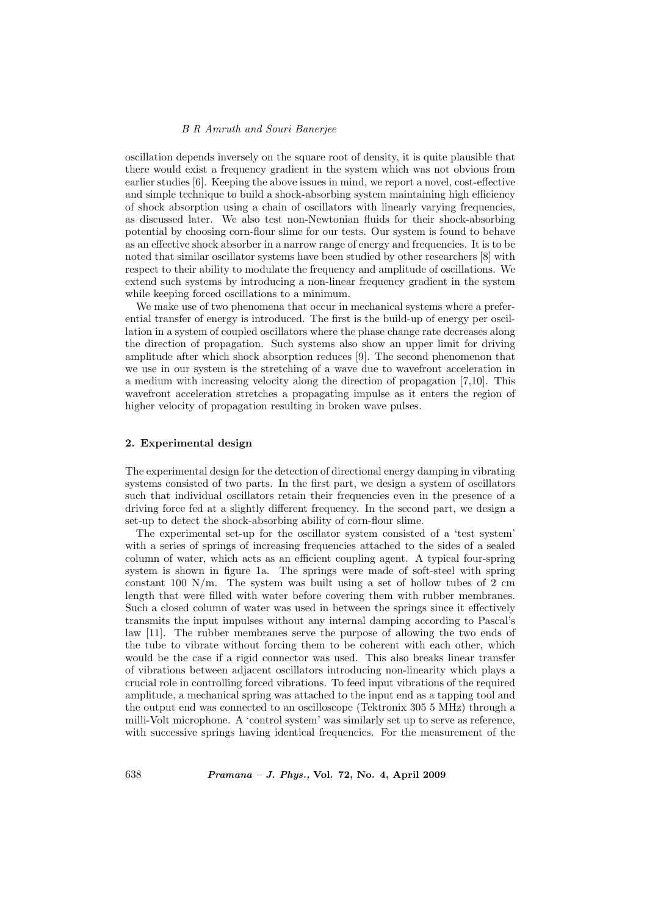## B R Amruth and Souri Banerjee

oscillation depends inversely on the square root of density, it is quite plausible that there would exist a frequency gradient in the system which was not obvious from earlier studies [6]. Keeping the above issues in mind, we report a novel, cost-effective and simple technique to build a shock-absorbing system maintaining high efficiency of shock absorption using a chain of oscillators with linearly varying frequencies, as discussed later. We also test non-Newtonian fluids for their shock-absorbing potential by choosing corn-flour slime for our tests. Our system is found to behave as an effective shock absorber in a narrow range of energy and frequencies. It is to be noted that similar oscillator systems have been studied by other researchers [8] with respect to their ability to modulate the frequency and amplitude of oscillations. We extend such systems by introducing a non-linear frequency gradient in the system while keeping forced oscillations to a minimum.

We make use of two phenomena that occur in mechanical systems where a preferential transfer of energy is introduced. The first is the build-up of energy per oscillation in a system of coupled oscillators where the phase change rate decreases along the direction of propagation. Such systems also show an upper limit for driving amplitude after which shock absorption reduces [9]. The second phenomenon that we use in our system is the stretching of a wave due to wavefront acceleration in a medium with increasing velocity along the direction of propagation [7,10]. This wavefront acceleration stretches a propagating impulse as it enters the region of higher velocity of propagation resulting in broken wave pulses.

## 2. Experimental design

The experimental design for the detection of directional energy damping in vibrating systems consisted of two parts. In the first part, we design a system of oscillators such that individual oscillators retain their frequencies even in the presence of a driving force fed at a slightly different frequency. In the second part, we design a set-up to detect the shock-absorbing ability of corn-flour slime.

The experimental set-up for the oscillator system consisted of a 'test system' with a series of springs of increasing frequencies attached to the sides of a sealed column of water, which acts as an efficient coupling agent. A typical four-spring system is shown in figure 1a. The springs were made of soft-steel with spring constant 100 N/m. The system was built using a set of hollow tubes of 2 cm length that were filled with water before covering them with rubber membranes. Such a closed column of water was used in between the springs since it effectively transmits the input impulses without any internal damping according to Pascal's law [11]. The rubber membranes serve the purpose of allowing the two ends of the tube to vibrate without forcing them to be coherent with each other, which would be the case if a rigid connector was used. This also breaks linear transfer of vibrations between adjacent oscillators introducing non-linearity which plays a crucial role in controlling forced vibrations. To feed input vibrations of the required amplitude, a mechanical spring was attached to the input end as a tapping tool and the output end was connected to an oscilloscope (Tektronix 305 5 MHz) through a milli-Volt microphone. A 'control system' was similarly set up to serve as reference, with successive springs having identical frequencies. For the measurement of the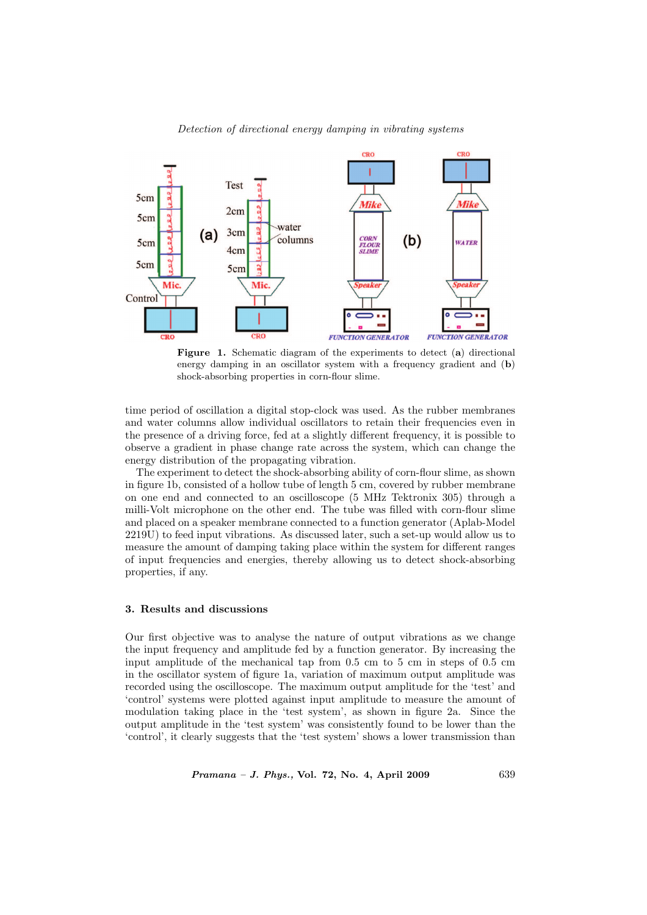

# Detection of directional energy damping in vibrating systems

Figure 1. Schematic diagram of the experiments to detect (a) directional energy damping in an oscillator system with a frequency gradient and (b) shock-absorbing properties in corn-flour slime.

time period of oscillation a digital stop-clock was used. As the rubber membranes and water columns allow individual oscillators to retain their frequencies even in the presence of a driving force, fed at a slightly different frequency, it is possible to observe a gradient in phase change rate across the system, which can change the energy distribution of the propagating vibration.

The experiment to detect the shock-absorbing ability of corn-flour slime, as shown in figure 1b, consisted of a hollow tube of length 5 cm, covered by rubber membrane on one end and connected to an oscilloscope (5 MHz Tektronix 305) through a milli-Volt microphone on the other end. The tube was filled with corn-flour slime and placed on a speaker membrane connected to a function generator (Aplab-Model 2219U) to feed input vibrations. As discussed later, such a set-up would allow us to measure the amount of damping taking place within the system for different ranges of input frequencies and energies, thereby allowing us to detect shock-absorbing properties, if any.

#### 3. Results and discussions

Our first objective was to analyse the nature of output vibrations as we change the input frequency and amplitude fed by a function generator. By increasing the input amplitude of the mechanical tap from 0.5 cm to 5 cm in steps of 0.5 cm in the oscillator system of figure 1a, variation of maximum output amplitude was recorded using the oscilloscope. The maximum output amplitude for the 'test' and 'control' systems were plotted against input amplitude to measure the amount of modulation taking place in the 'test system', as shown in figure 2a. Since the output amplitude in the 'test system' was consistently found to be lower than the 'control', it clearly suggests that the 'test system' shows a lower transmission than

Pramana – J. Phys., Vol. 72, No. 4, April 2009 639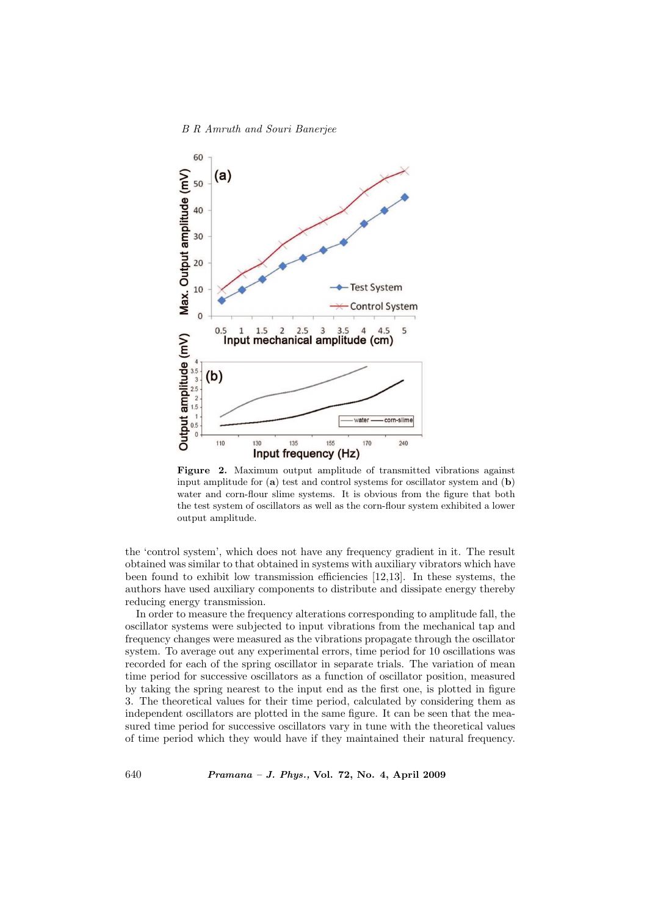#### B R Amruth and Souri Banerjee



Figure 2. Maximum output amplitude of transmitted vibrations against input amplitude for  $(a)$  test and control systems for oscillator system and  $(b)$ water and corn-flour slime systems. It is obvious from the figure that both the test system of oscillators as well as the corn-flour system exhibited a lower output amplitude.

the 'control system', which does not have any frequency gradient in it. The result obtained was similar to that obtained in systems with auxiliary vibrators which have been found to exhibit low transmission efficiencies [12,13]. In these systems, the authors have used auxiliary components to distribute and dissipate energy thereby reducing energy transmission.

In order to measure the frequency alterations corresponding to amplitude fall, the oscillator systems were subjected to input vibrations from the mechanical tap and frequency changes were measured as the vibrations propagate through the oscillator system. To average out any experimental errors, time period for 10 oscillations was recorded for each of the spring oscillator in separate trials. The variation of mean time period for successive oscillators as a function of oscillator position, measured by taking the spring nearest to the input end as the first one, is plotted in figure 3. The theoretical values for their time period, calculated by considering them as independent oscillators are plotted in the same figure. It can be seen that the measured time period for successive oscillators vary in tune with the theoretical values of time period which they would have if they maintained their natural frequency.

640 Pramana – J. Phys., Vol. 72, No. 4, April 2009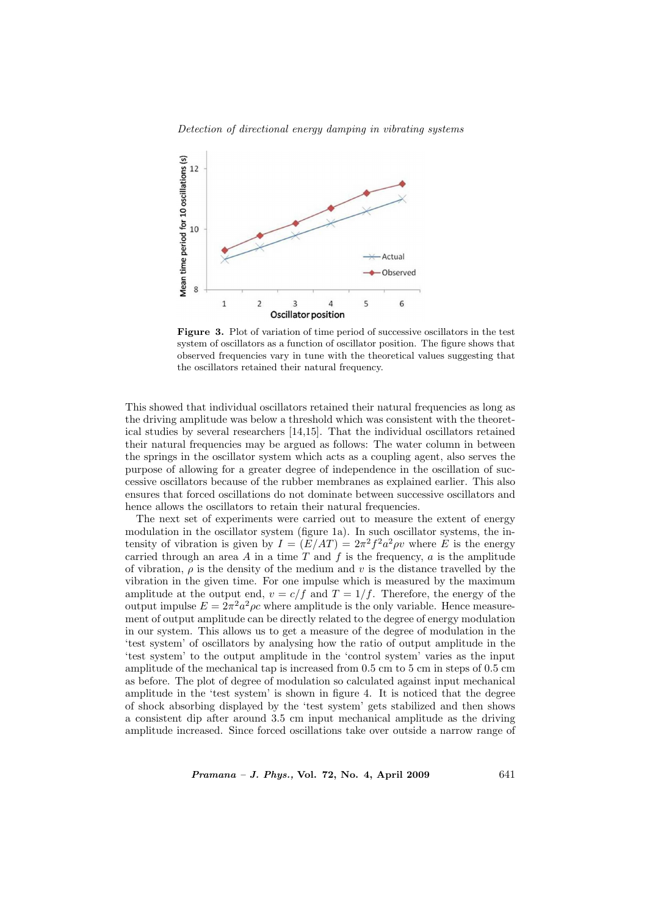



Figure 3. Plot of variation of time period of successive oscillators in the test system of oscillators as a function of oscillator position. The figure shows that observed frequencies vary in tune with the theoretical values suggesting that the oscillators retained their natural frequency.

This showed that individual oscillators retained their natural frequencies as long as the driving amplitude was below a threshold which was consistent with the theoretical studies by several researchers [14,15]. That the individual oscillators retained their natural frequencies may be argued as follows: The water column in between the springs in the oscillator system which acts as a coupling agent, also serves the purpose of allowing for a greater degree of independence in the oscillation of successive oscillators because of the rubber membranes as explained earlier. This also ensures that forced oscillations do not dominate between successive oscillators and hence allows the oscillators to retain their natural frequencies.

The next set of experiments were carried out to measure the extent of energy modulation in the oscillator system (figure 1a). In such oscillator systems, the intensity of vibration is given by  $I = (E/AT) = 2\pi^2 f^2 a^2 \rho v$  where E is the energy carried through an area A in a time T and f is the frequency, a is the amplitude of vibration,  $\rho$  is the density of the medium and v is the distance travelled by the vibration in the given time. For one impulse which is measured by the maximum amplitude at the output end,  $v = c/f$  and  $T = 1/f$ . Therefore, the energy of the output impulse  $E = 2\pi^2 a^2 \rho c$  where amplitude is the only variable. Hence measurement of output amplitude can be directly related to the degree of energy modulation in our system. This allows us to get a measure of the degree of modulation in the 'test system' of oscillators by analysing how the ratio of output amplitude in the 'test system' to the output amplitude in the 'control system' varies as the input amplitude of the mechanical tap is increased from 0.5 cm to 5 cm in steps of 0.5 cm as before. The plot of degree of modulation so calculated against input mechanical amplitude in the 'test system' is shown in figure 4. It is noticed that the degree of shock absorbing displayed by the 'test system' gets stabilized and then shows a consistent dip after around 3.5 cm input mechanical amplitude as the driving amplitude increased. Since forced oscillations take over outside a narrow range of

 $Pramana - J. Phys., Vol. 72, No. 4, April 2009$  641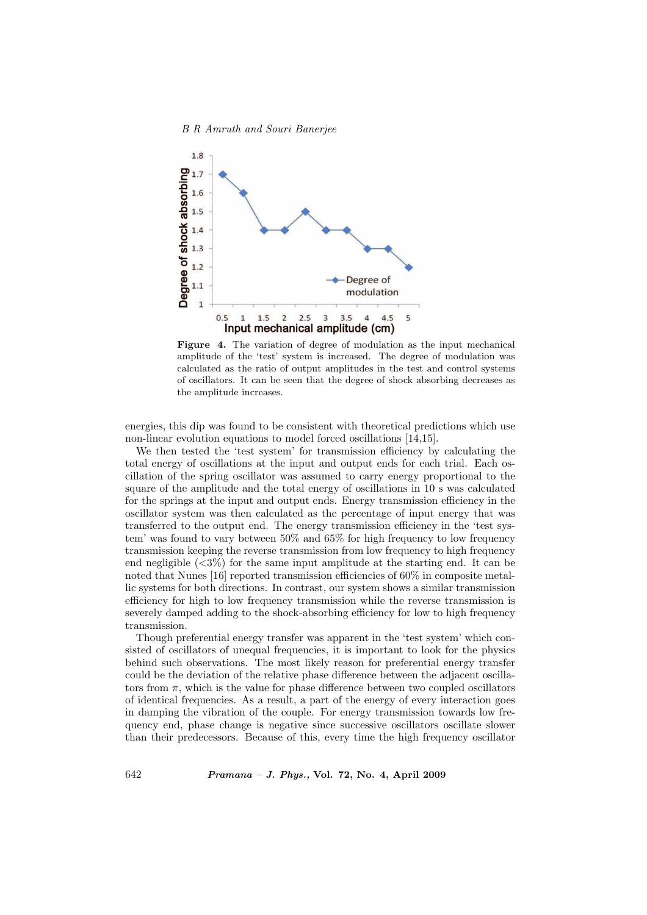



Figure 4. The variation of degree of modulation as the input mechanical amplitude of the 'test' system is increased. The degree of modulation was calculated as the ratio of output amplitudes in the test and control systems of oscillators. It can be seen that the degree of shock absorbing decreases as the amplitude increases.

energies, this dip was found to be consistent with theoretical predictions which use non-linear evolution equations to model forced oscillations [14,15].

We then tested the 'test system' for transmission efficiency by calculating the total energy of oscillations at the input and output ends for each trial. Each oscillation of the spring oscillator was assumed to carry energy proportional to the square of the amplitude and the total energy of oscillations in 10 s was calculated for the springs at the input and output ends. Energy transmission efficiency in the oscillator system was then calculated as the percentage of input energy that was transferred to the output end. The energy transmission efficiency in the 'test system' was found to vary between 50% and 65% for high frequency to low frequency transmission keeping the reverse transmission from low frequency to high frequency end negligible  $\langle 3\% \rangle$  for the same input amplitude at the starting end. It can be noted that Nunes [16] reported transmission efficiencies of 60% in composite metallic systems for both directions. In contrast, our system shows a similar transmission efficiency for high to low frequency transmission while the reverse transmission is severely damped adding to the shock-absorbing efficiency for low to high frequency transmission.

Though preferential energy transfer was apparent in the 'test system' which consisted of oscillators of unequal frequencies, it is important to look for the physics behind such observations. The most likely reason for preferential energy transfer could be the deviation of the relative phase difference between the adjacent oscillators from  $\pi$ , which is the value for phase difference between two coupled oscillators of identical frequencies. As a result, a part of the energy of every interaction goes in damping the vibration of the couple. For energy transmission towards low frequency end, phase change is negative since successive oscillators oscillate slower than their predecessors. Because of this, every time the high frequency oscillator

642 Pramana – J. Phys., Vol. 72, No. 4, April 2009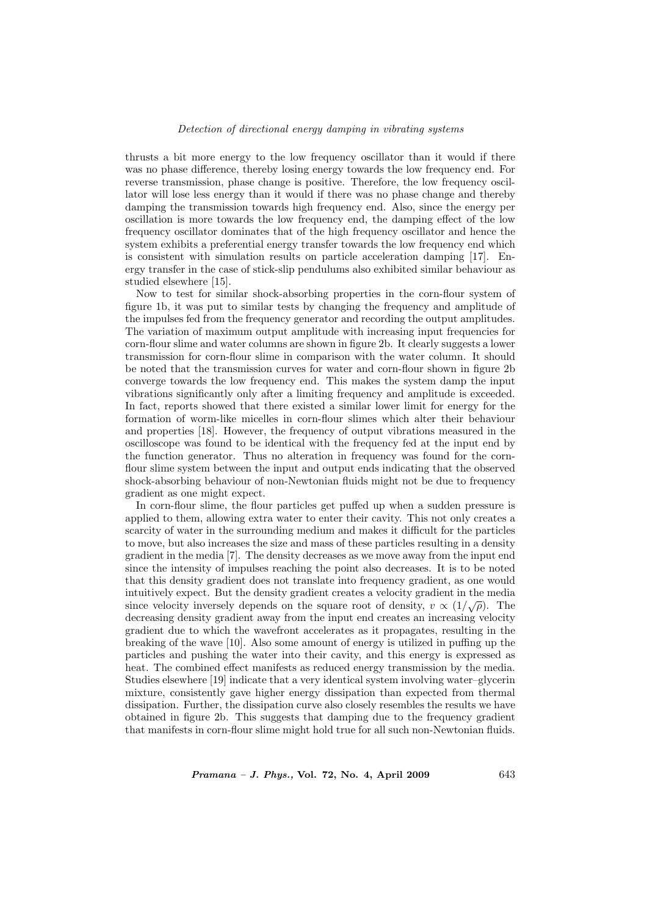## Detection of directional energy damping in vibrating systems

thrusts a bit more energy to the low frequency oscillator than it would if there was no phase difference, thereby losing energy towards the low frequency end. For reverse transmission, phase change is positive. Therefore, the low frequency oscillator will lose less energy than it would if there was no phase change and thereby damping the transmission towards high frequency end. Also, since the energy per oscillation is more towards the low frequency end, the damping effect of the low frequency oscillator dominates that of the high frequency oscillator and hence the system exhibits a preferential energy transfer towards the low frequency end which is consistent with simulation results on particle acceleration damping [17]. Energy transfer in the case of stick-slip pendulums also exhibited similar behaviour as studied elsewhere [15].

Now to test for similar shock-absorbing properties in the corn-flour system of figure 1b, it was put to similar tests by changing the frequency and amplitude of the impulses fed from the frequency generator and recording the output amplitudes. The variation of maximum output amplitude with increasing input frequencies for corn-flour slime and water columns are shown in figure 2b. It clearly suggests a lower transmission for corn-flour slime in comparison with the water column. It should be noted that the transmission curves for water and corn-flour shown in figure 2b converge towards the low frequency end. This makes the system damp the input vibrations significantly only after a limiting frequency and amplitude is exceeded. In fact, reports showed that there existed a similar lower limit for energy for the formation of worm-like micelles in corn-flour slimes which alter their behaviour and properties [18]. However, the frequency of output vibrations measured in the oscilloscope was found to be identical with the frequency fed at the input end by the function generator. Thus no alteration in frequency was found for the cornflour slime system between the input and output ends indicating that the observed shock-absorbing behaviour of non-Newtonian fluids might not be due to frequency gradient as one might expect.

In corn-flour slime, the flour particles get puffed up when a sudden pressure is applied to them, allowing extra water to enter their cavity. This not only creates a scarcity of water in the surrounding medium and makes it difficult for the particles to move, but also increases the size and mass of these particles resulting in a density gradient in the media [7]. The density decreases as we move away from the input end since the intensity of impulses reaching the point also decreases. It is to be noted that this density gradient does not translate into frequency gradient, as one would intuitively expect. But the density gradient creates a velocity gradient in the media incurvery expect. But the density gradiem creates a velocity gradiem in the media<br>since velocity inversely depends on the square root of density,  $v \propto (1/\sqrt{\rho})$ . The decreasing density gradient away from the input end creates an increasing velocity gradient due to which the wavefront accelerates as it propagates, resulting in the breaking of the wave [10]. Also some amount of energy is utilized in puffing up the particles and pushing the water into their cavity, and this energy is expressed as heat. The combined effect manifests as reduced energy transmission by the media. Studies elsewhere [19] indicate that a very identical system involving water–glycerin mixture, consistently gave higher energy dissipation than expected from thermal dissipation. Further, the dissipation curve also closely resembles the results we have obtained in figure 2b. This suggests that damping due to the frequency gradient that manifests in corn-flour slime might hold true for all such non-Newtonian fluids.

Pramana – J. Phys., Vol. 72, No. 4, April 2009 643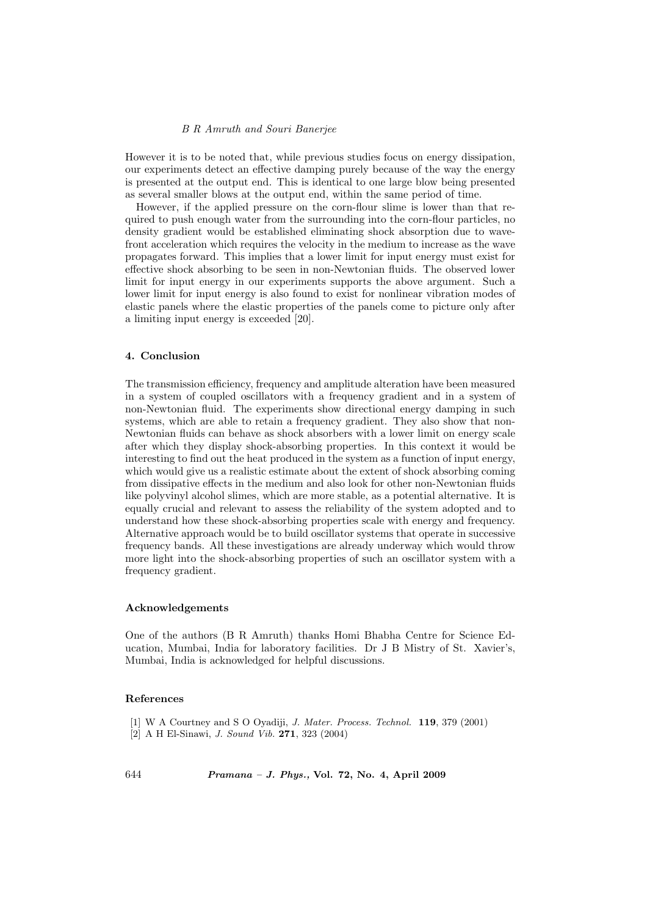## B R Amruth and Souri Banerjee

However it is to be noted that, while previous studies focus on energy dissipation, our experiments detect an effective damping purely because of the way the energy is presented at the output end. This is identical to one large blow being presented as several smaller blows at the output end, within the same period of time.

However, if the applied pressure on the corn-flour slime is lower than that required to push enough water from the surrounding into the corn-flour particles, no density gradient would be established eliminating shock absorption due to wavefront acceleration which requires the velocity in the medium to increase as the wave propagates forward. This implies that a lower limit for input energy must exist for effective shock absorbing to be seen in non-Newtonian fluids. The observed lower limit for input energy in our experiments supports the above argument. Such a lower limit for input energy is also found to exist for nonlinear vibration modes of elastic panels where the elastic properties of the panels come to picture only after a limiting input energy is exceeded [20].

## 4. Conclusion

The transmission efficiency, frequency and amplitude alteration have been measured in a system of coupled oscillators with a frequency gradient and in a system of non-Newtonian fluid. The experiments show directional energy damping in such systems, which are able to retain a frequency gradient. They also show that non-Newtonian fluids can behave as shock absorbers with a lower limit on energy scale after which they display shock-absorbing properties. In this context it would be interesting to find out the heat produced in the system as a function of input energy, which would give us a realistic estimate about the extent of shock absorbing coming from dissipative effects in the medium and also look for other non-Newtonian fluids like polyvinyl alcohol slimes, which are more stable, as a potential alternative. It is equally crucial and relevant to assess the reliability of the system adopted and to understand how these shock-absorbing properties scale with energy and frequency. Alternative approach would be to build oscillator systems that operate in successive frequency bands. All these investigations are already underway which would throw more light into the shock-absorbing properties of such an oscillator system with a frequency gradient.

# Acknowledgements

One of the authors (B R Amruth) thanks Homi Bhabha Centre for Science Education, Mumbai, India for laboratory facilities. Dr J B Mistry of St. Xavier's, Mumbai, India is acknowledged for helpful discussions.

#### References

- [1] W A Courtney and S O Oyadiji, J. Mater. Process. Technol. 119, 379 (2001)
- [2] A H El-Sinawi, J. Sound Vib. 271, 323 (2004)

644 Pramana – J. Phys., Vol. 72, No. 4, April 2009